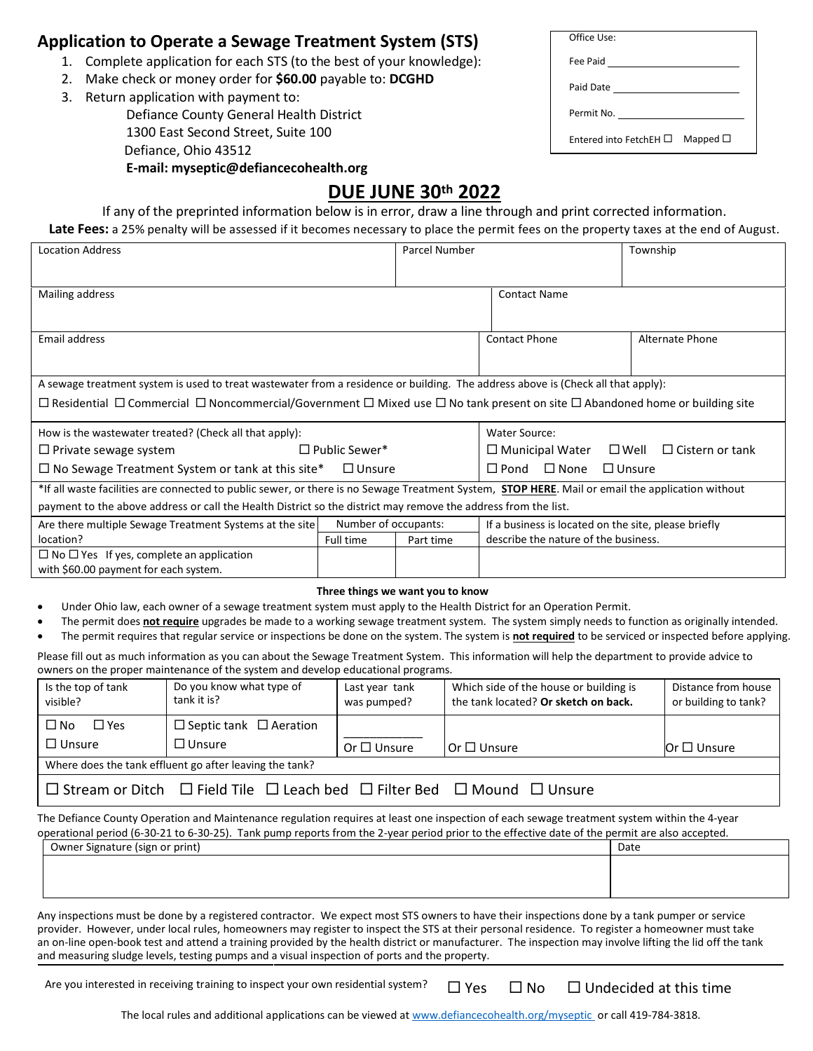## **Application to Operate a Sewage Treatment System (STS)**

- 1. Complete application for each STS (to the best of your knowledge):
- 2. Make check or money order for **\$60.00** payable to: **DCGHD**
- 3. Return application with payment to: Defiance County General Health District 1300 East Second Street, Suite 100 Defiance, Ohio 43512 **E-mail: myseptic@defiancecohealth.org**

| Office Use:                 |               |
|-----------------------------|---------------|
| Fee Paid                    |               |
| Paid Date <u>__________</u> |               |
|                             |               |
| Fntered into FetchFH $\Box$ | Mapped $\Box$ |

## **DUE JUNE 30th 2022**

If any of the preprinted information below is in error, draw a line through and print corrected information. Late Fees: a 25% penalty will be assessed if it becomes necessary to place the permit fees on the property taxes at the end of August.

| <b>Location Address</b>                                                                                                                                     | Parcel Number        |                                                   | Township                                                           |                        |
|-------------------------------------------------------------------------------------------------------------------------------------------------------------|----------------------|---------------------------------------------------|--------------------------------------------------------------------|------------------------|
| Mailing address                                                                                                                                             |                      |                                                   | <b>Contact Name</b>                                                |                        |
|                                                                                                                                                             |                      |                                                   |                                                                    |                        |
| Email address                                                                                                                                               |                      |                                                   | <b>Contact Phone</b>                                               | <b>Alternate Phone</b> |
|                                                                                                                                                             |                      |                                                   |                                                                    |                        |
| A sewage treatment system is used to treat wastewater from a residence or building. The address above is (Check all that apply):                            |                      |                                                   |                                                                    |                        |
| $\Box$ Residential $\Box$ Commercial $\Box$ Noncommercial/Government $\Box$ Mixed use $\Box$ No tank present on site $\Box$ Abandoned home or building site |                      |                                                   |                                                                    |                        |
| How is the wastewater treated? (Check all that apply):                                                                                                      |                      |                                                   | Water Source:                                                      |                        |
| $\Box$ Private sewage system                                                                                                                                | $\Box$ Public Sewer* |                                                   | $\Box$ Cistern or tank<br>$\Box$ Municipal Water<br>$\square$ Well |                        |
| $\Box$ No Sewage Treatment System or tank at this site*<br>$\Box$ Unsure                                                                                    |                      | $\square$ None<br>$\Box$ Unsure<br>$\square$ Pond |                                                                    |                        |
| *If all waste facilities are connected to public sewer, or there is no Sewage Treatment System, <b>STOP HERE</b> . Mail or email the application without    |                      |                                                   |                                                                    |                        |
| payment to the above address or call the Health District so the district may remove the address from the list.                                              |                      |                                                   |                                                                    |                        |
| Are there multiple Sewage Treatment Systems at the site                                                                                                     | Number of occupants: |                                                   | If a business is located on the site, please briefly               |                        |
| location?                                                                                                                                                   | Full time            | Part time                                         | describe the nature of the business.                               |                        |
| $\Box$ No $\Box$ Yes If yes, complete an application                                                                                                        |                      |                                                   |                                                                    |                        |
| with \$60.00 payment for each system.                                                                                                                       |                      |                                                   |                                                                    |                        |

## **Three things we want you to know**

- Under Ohio law, each owner of a sewage treatment system must apply to the Health District for an Operation Permit.
- The permit does **not require** upgrades be made to a working sewage treatment system. The system simply needs to function as originally intended.
- The permit requires that regular service or inspections be done on the system. The system is **not required** to be serviced or inspected before applying.

Please fill out as much information as you can about the Sewage Treatment System. This information will help the department to provide advice to owners on the proper maintenance of the system and develop educational programs.

| Is the top of tank<br>visible?                                                                         | Do you know what type of<br>tank it is? | Last year tank<br>was pumped? | Which side of the house or building is<br>the tank located? Or sketch on back. | Distance from house<br>or building to tank? |
|--------------------------------------------------------------------------------------------------------|-----------------------------------------|-------------------------------|--------------------------------------------------------------------------------|---------------------------------------------|
| $\square$ No<br>$\square$ Yes                                                                          | $\Box$ Septic tank $\Box$ Aeration      |                               |                                                                                |                                             |
| $\Box$ Unsure                                                                                          | $\Box$ Unsure                           | Or $\Box$ Unsure              | Or $\Box$ Unsure                                                               | Or $\square$ Unsure                         |
| Where does the tank effluent go after leaving the tank?                                                |                                         |                               |                                                                                |                                             |
| $\Box$ Stream or Ditch $\Box$ Field Tile $\Box$ Leach bed $\Box$ Filter Bed $\Box$ Mound $\Box$ Unsure |                                         |                               |                                                                                |                                             |
|                                                                                                        |                                         |                               |                                                                                |                                             |

The Defiance County Operation and Maintenance regulation requires at least one inspection of each sewage treatment system within the 4-year operational period (6-30-21 to 6-30-25). Tank pump reports from the 2-year period prior to the effective date of the permit are also accepted.

| Owner Signature (sign or print) | Date |
|---------------------------------|------|
|                                 |      |
|                                 |      |
|                                 |      |

Any inspections must be done by a registered contractor. We expect most STS owners to have their inspections done by a tank pumper or service provider. However, under local rules, homeowners may register to inspect the STS at their personal residence. To register a homeowner must take an on-line open-book test and attend a training provided by the health district or manufacturer. The inspection may involve lifting the lid off the tank and measuring sludge levels, testing pumps and a visual inspection of ports and the property.

Are you interested in receiving training to inspect your own residential system?  $\Box$  Yes  $\Box$  No  $\Box$  Undecided at this time

The local rules and additional applications can be viewed at www.defiancecohealth.org/myseptic or call 419-784-3818.